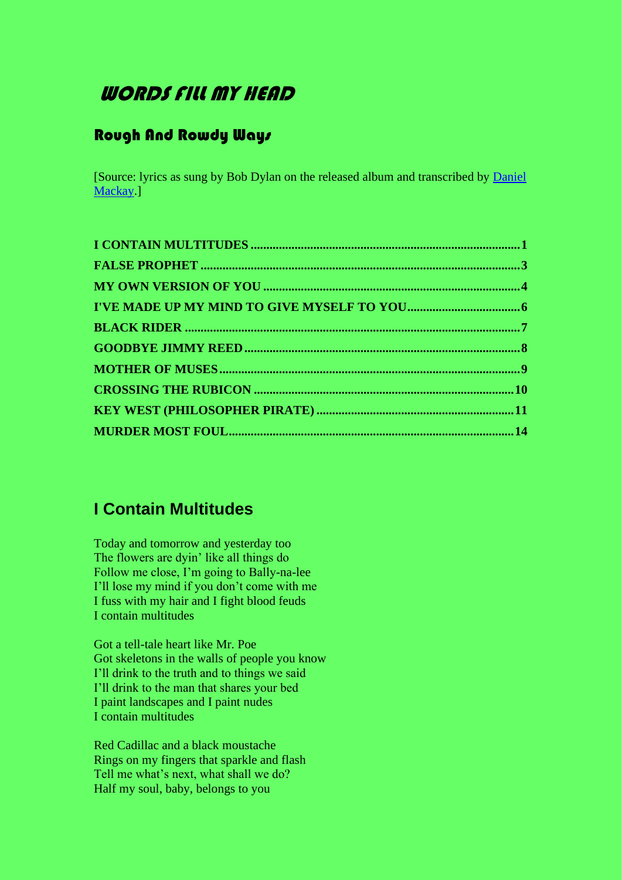# WORDS FILL MY HEAD

### Rough And Rowdy Ways

[Source: lyrics as sung by Bob Dylan on the released album and transcribed by [Daniel](Dan.htm)  [Mackay.](Dan.htm)]

### <span id="page-0-0"></span>**I Contain Multitudes**

Today and tomorrow and yesterday too The flowers are dyin' like all things do Follow me close, I'm going to Bally-na-lee I'll lose my mind if you don't come with me I fuss with my hair and I fight blood feuds I contain multitudes

Got a tell-tale heart like Mr. Poe Got skeletons in the walls of people you know I'll drink to the truth and to things we said I'll drink to the man that shares your bed I paint landscapes and I paint nudes I contain multitudes

Red Cadillac and a black moustache Rings on my fingers that sparkle and flash Tell me what's next, what shall we do? Half my soul, baby, belongs to you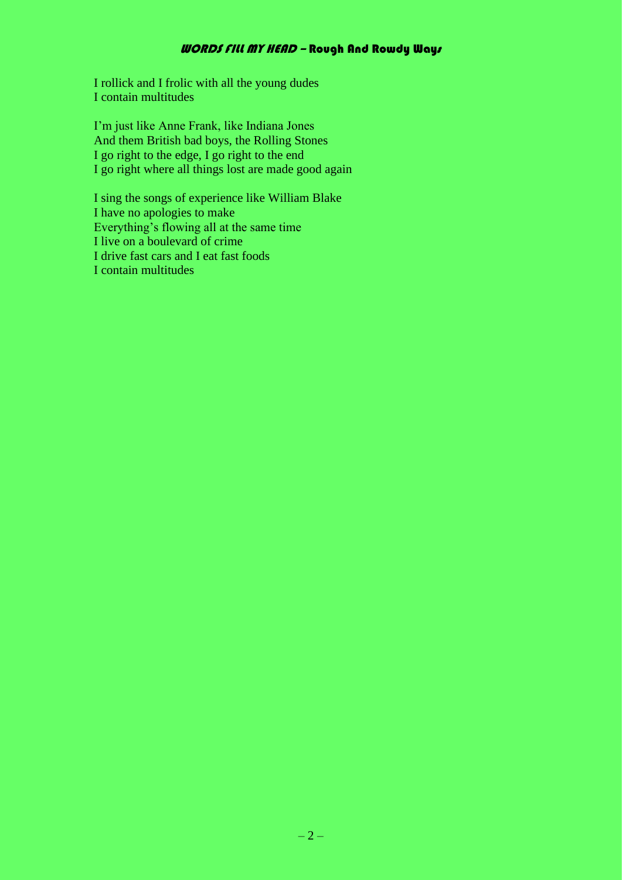I rollick and I frolic with all the young dudes I contain multitudes

I'm just like Anne Frank, like Indiana Jones And them British bad boys, the Rolling Stones I go right to the edge, I go right to the end I go right where all things lost are made good again

I sing the songs of experience like William Blake I have no apologies to make Everything's flowing all at the same time I live on a boulevard of crime I drive fast cars and I eat fast foods I contain multitudes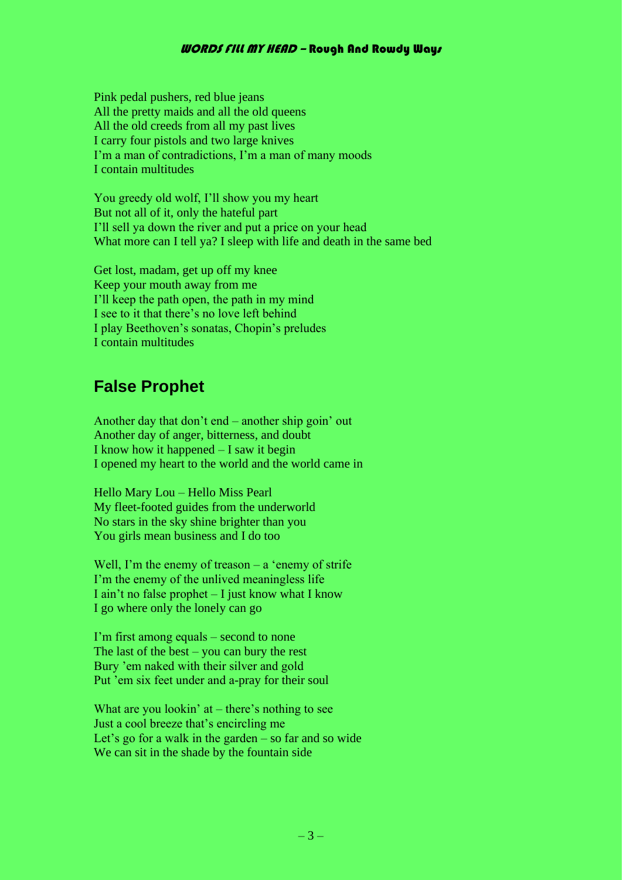Pink pedal pushers, red blue jeans All the pretty maids and all the old queens All the old creeds from all my past lives I carry four pistols and two large knives I'm a man of contradictions, I'm a man of many moods I contain multitudes

You greedy old wolf, I'll show you my heart But not all of it, only the hateful part I'll sell ya down the river and put a price on your head What more can I tell ya? I sleep with life and death in the same bed

Get lost, madam, get up off my knee Keep your mouth away from me I'll keep the path open, the path in my mind I see to it that there's no love left behind I play Beethoven's sonatas, Chopin's preludes I contain multitudes

## <span id="page-2-0"></span>**False Prophet**

Another day that don't end – another ship goin' out Another day of anger, bitterness, and doubt I know how it happened – I saw it begin I opened my heart to the world and the world came in

Hello Mary Lou – Hello Miss Pearl My fleet-footed guides from the underworld No stars in the sky shine brighter than you You girls mean business and I do too

Well, I'm the enemy of treason  $-$  a 'enemy of strife I'm the enemy of the unlived meaningless life I ain't no false prophet – I just know what I know I go where only the lonely can go

I'm first among equals – second to none The last of the best – you can bury the rest Bury 'em naked with their silver and gold Put 'em six feet under and a-pray for their soul

What are you lookin' at  $-$  there's nothing to see Just a cool breeze that's encircling me Let's go for a walk in the garden – so far and so wide We can sit in the shade by the fountain side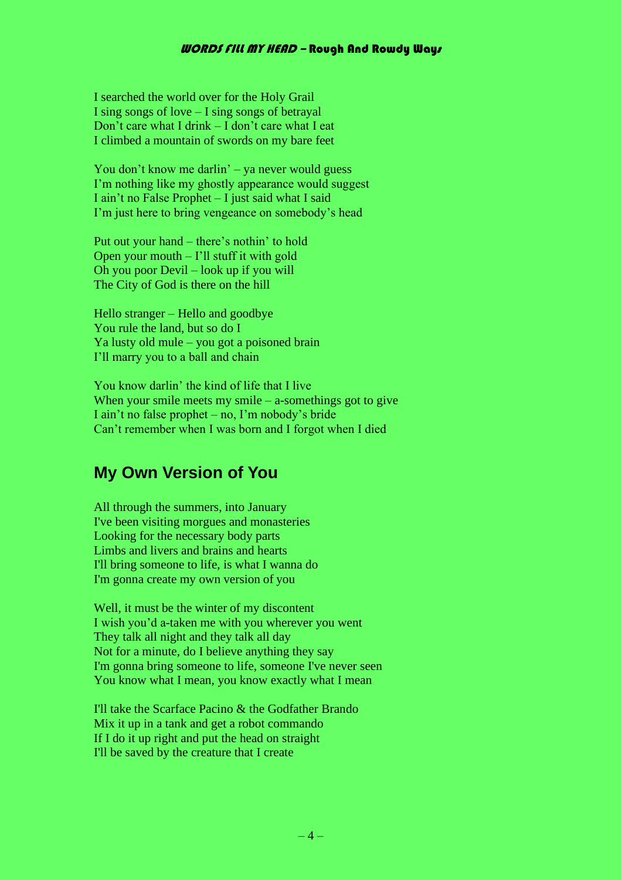I searched the world over for the Holy Grail I sing songs of love – I sing songs of betrayal Don't care what I drink – I don't care what I eat I climbed a mountain of swords on my bare feet

You don't know me darlin' – ya never would guess I'm nothing like my ghostly appearance would suggest I ain't no False Prophet – I just said what I said I'm just here to bring vengeance on somebody's head

Put out your hand – there's nothin' to hold Open your mouth – I'll stuff it with gold Oh you poor Devil – look up if you will The City of God is there on the hill

Hello stranger – Hello and goodbye You rule the land, but so do I Ya lusty old mule – you got a poisoned brain I'll marry you to a ball and chain

You know darlin' the kind of life that I live When your smile meets my smile  $-$  a-somethings got to give I ain't no false prophet – no, I'm nobody's bride Can't remember when I was born and I forgot when I died

### <span id="page-3-0"></span>**My Own Version of You**

All through the summers, into January I've been visiting morgues and monasteries Looking for the necessary body parts Limbs and livers and brains and hearts I'll bring someone to life, is what I wanna do I'm gonna create my own version of you

Well, it must be the winter of my discontent I wish you'd a-taken me with you wherever you went They talk all night and they talk all day Not for a minute, do I believe anything they say I'm gonna bring someone to life, someone I've never seen You know what I mean, you know exactly what I mean

I'll take the Scarface Pacino & the Godfather Brando Mix it up in a tank and get a robot commando If I do it up right and put the head on straight I'll be saved by the creature that I create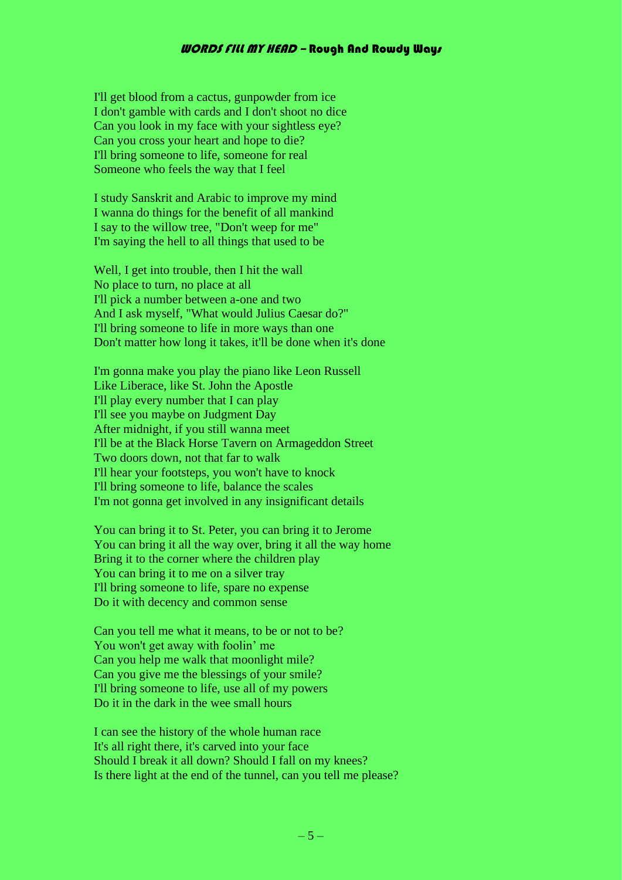I'll get blood from a cactus, gunpowder from ice I don't gamble with cards and I don't shoot no dice Can you look in my face with your sightless eye? Can you cross your heart and hope to die? I'll bring someone to life, someone for real Someone who feels the way that I feel

I study Sanskrit and Arabic to improve my mind I wanna do things for the benefit of all mankind I say to the willow tree, "Don't weep for me" I'm saying the hell to all things that used to be

Well, I get into trouble, then I hit the wall No place to turn, no place at all I'll pick a number between a-one and two And I ask myself, "What would Julius Caesar do?" I'll bring someone to life in more ways than one Don't matter how long it takes, it'll be done when it's done

I'm gonna make you play the piano like Leon Russell Like Liberace, like St. John the Apostle I'll play every number that I can play I'll see you maybe on Judgment Day After midnight, if you still wanna meet I'll be at the Black Horse Tavern on Armageddon Street Two doors down, not that far to walk I'll hear your footsteps, you won't have to knock I'll bring someone to life, balance the scales I'm not gonna get involved in any insignificant details

You can bring it to St. Peter, you can bring it to Jerome You can bring it all the way over, bring it all the way home Bring it to the corner where the children play You can bring it to me on a silver tray I'll bring someone to life, spare no expense Do it with decency and common sense

Can you tell me what it means, to be or not to be? You won't get away with foolin' me Can you help me walk that moonlight mile? Can you give me the blessings of your smile? I'll bring someone to life, use all of my powers Do it in the dark in the wee small hours

I can see the history of the whole human race It's all right there, it's carved into your face Should I break it all down? Should I fall on my knees? Is there light at the end of the tunnel, can you tell me please?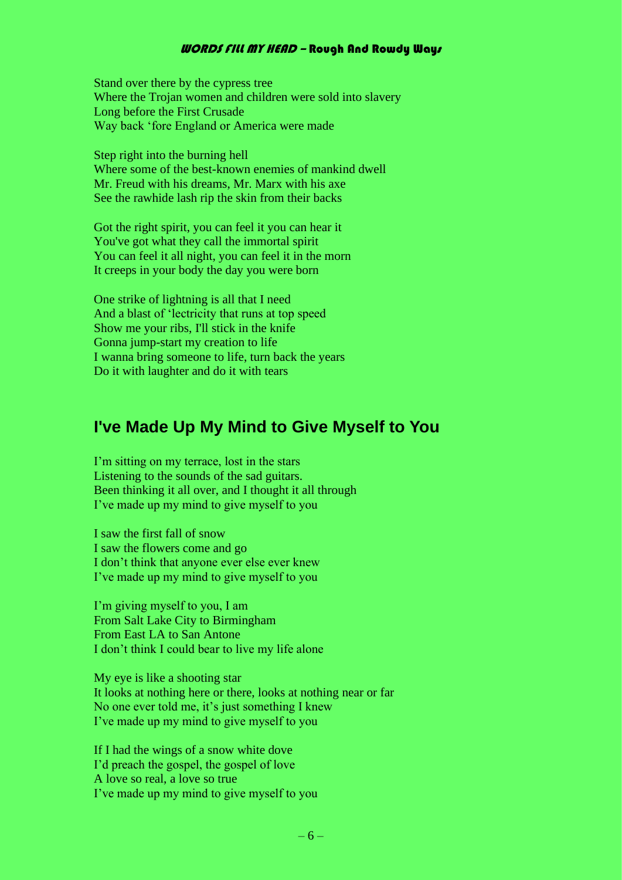Stand over there by the cypress tree Where the Trojan women and children were sold into slavery Long before the First Crusade Way back 'fore England or America were made

Step right into the burning hell Where some of the best-known enemies of mankind dwell Mr. Freud with his dreams, Mr. Marx with his axe See the rawhide lash rip the skin from their backs

Got the right spirit, you can feel it you can hear it You've got what they call the immortal spirit You can feel it all night, you can feel it in the morn It creeps in your body the day you were born

One strike of lightning is all that I need And a blast of 'lectricity that runs at top speed Show me your ribs, I'll stick in the knife Gonna jump-start my creation to life I wanna bring someone to life, turn back the years Do it with laughter and do it with tears

### <span id="page-5-0"></span>**I've Made Up My Mind to Give Myself to You**

I'm sitting on my terrace, lost in the stars Listening to the sounds of the sad guitars. Been thinking it all over, and I thought it all through I've made up my mind to give myself to you

I saw the first fall of snow I saw the flowers come and go I don't think that anyone ever else ever knew I've made up my mind to give myself to you

I'm giving myself to you, I am From Salt Lake City to Birmingham From East LA to San Antone I don't think I could bear to live my life alone

My eye is like a shooting star It looks at nothing here or there, looks at nothing near or far No one ever told me, it's just something I knew I've made up my mind to give myself to you

If I had the wings of a snow white dove I'd preach the gospel, the gospel of love A love so real, a love so true I've made up my mind to give myself to you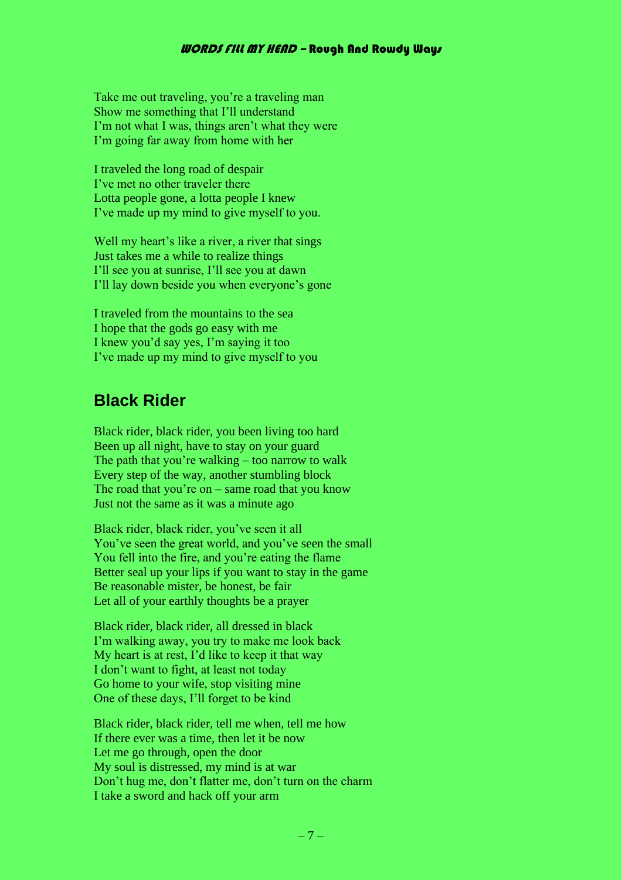Take me out traveling, you're a traveling man Show me something that I'll understand I'm not what I was, things aren't what they were I'm going far away from home with her

I traveled the long road of despair I've met no other traveler there Lotta people gone, a lotta people I knew I've made up my mind to give myself to you.

Well my heart's like a river, a river that sings Just takes me a while to realize things I'll see you at sunrise, I'll see you at dawn I'll lay down beside you when everyone's gone

I traveled from the mountains to the sea I hope that the gods go easy with me I knew you'd say yes, I'm saying it too I've made up my mind to give myself to you

### <span id="page-6-0"></span>**Black Rider**

Black rider, black rider, you been living too hard Been up all night, have to stay on your guard The path that you're walking – too narrow to walk Every step of the way, another stumbling block The road that you're on – same road that you know Just not the same as it was a minute ago

Black rider, black rider, you've seen it all You've seen the great world, and you've seen the small You fell into the fire, and you're eating the flame Better seal up your lips if you want to stay in the game Be reasonable mister, be honest, be fair Let all of your earthly thoughts be a prayer

Black rider, black rider, all dressed in black I'm walking away, you try to make me look back My heart is at rest, I'd like to keep it that way I don't want to fight, at least not today Go home to your wife, stop visiting mine One of these days, I'll forget to be kind

Black rider, black rider, tell me when, tell me how If there ever was a time, then let it be now Let me go through, open the door My soul is distressed, my mind is at war Don't hug me, don't flatter me, don't turn on the charm I take a sword and hack off your arm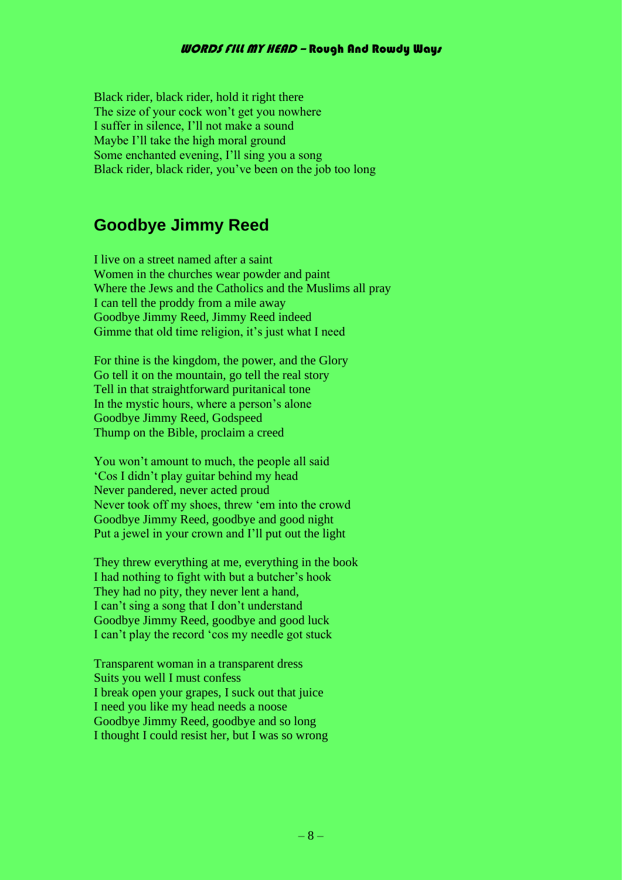Black rider, black rider, hold it right there The size of your cock won't get you nowhere I suffer in silence, I'll not make a sound Maybe I'll take the high moral ground Some enchanted evening, I'll sing you a song Black rider, black rider, you've been on the job too long

### <span id="page-7-0"></span>**Goodbye Jimmy Reed**

I live on a street named after a saint Women in the churches wear powder and paint Where the Jews and the Catholics and the Muslims all pray I can tell the proddy from a mile away Goodbye Jimmy Reed, Jimmy Reed indeed Gimme that old time religion, it's just what I need

For thine is the kingdom, the power, and the Glory Go tell it on the mountain, go tell the real story Tell in that straightforward puritanical tone In the mystic hours, where a person's alone Goodbye Jimmy Reed, Godspeed Thump on the Bible, proclaim a creed

You won't amount to much, the people all said 'Cos I didn't play guitar behind my head Never pandered, never acted proud Never took off my shoes, threw 'em into the crowd Goodbye Jimmy Reed, goodbye and good night Put a jewel in your crown and I'll put out the light

They threw everything at me, everything in the book I had nothing to fight with but a butcher's hook They had no pity, they never lent a hand, I can't sing a song that I don't understand Goodbye Jimmy Reed, goodbye and good luck I can't play the record 'cos my needle got stuck

Transparent woman in a transparent dress Suits you well I must confess I break open your grapes, I suck out that juice I need you like my head needs a noose Goodbye Jimmy Reed, goodbye and so long I thought I could resist her, but I was so wrong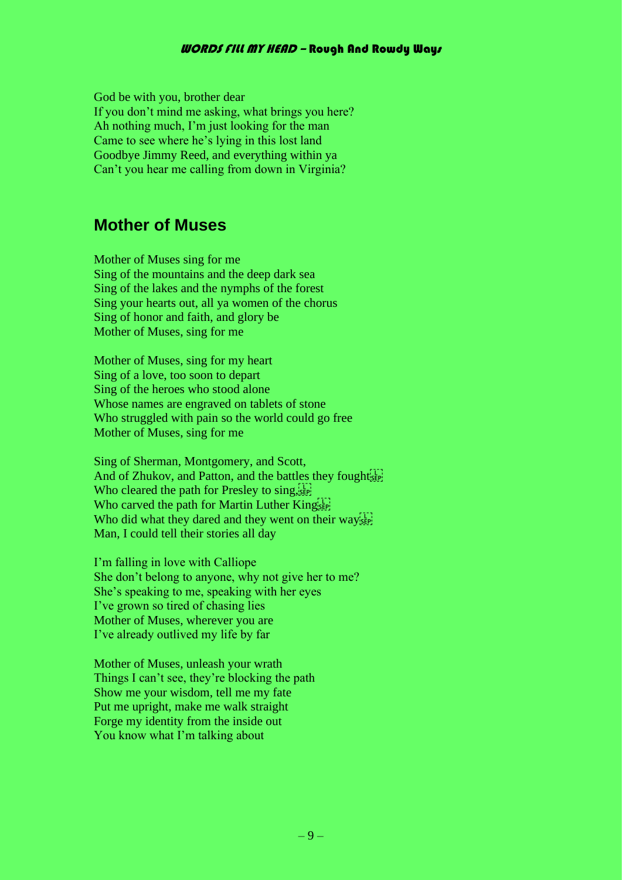God be with you, brother dear If you don't mind me asking, what brings you here? Ah nothing much, I'm just looking for the man Came to see where he's lying in this lost land Goodbye Jimmy Reed, and everything within ya Can't you hear me calling from down in Virginia?

# <span id="page-8-0"></span>**Mother of Muses**

Mother of Muses sing for me Sing of the mountains and the deep dark sea Sing of the lakes and the nymphs of the forest Sing your hearts out, all ya women of the chorus Sing of honor and faith, and glory be Mother of Muses, sing for me

Mother of Muses, sing for my heart Sing of a love, too soon to depart Sing of the heroes who stood alone Whose names are engraved on tablets of stone Who struggled with pain so the world could go free Mother of Muses, sing for me

Sing of Sherman, Montgomery, and Scott, And of Zhukov, and Patton, and the battles they fought<sub>ister</sub> Who cleared the path for Presley to  $\frac{1}{2}$ Who carved the path for Martin Luther Kingsen Who did what they dared and they went on their way  $\mathbb{E}$ Man, I could tell their stories all day

I'm falling in love with Calliope She don't belong to anyone, why not give her to me? She's speaking to me, speaking with her eyes I've grown so tired of chasing lies Mother of Muses, wherever you are I've already outlived my life by far

Mother of Muses, unleash your wrath Things I can't see, they're blocking the path Show me your wisdom, tell me my fate Put me upright, make me walk straight Forge my identity from the inside out You know what I'm talking about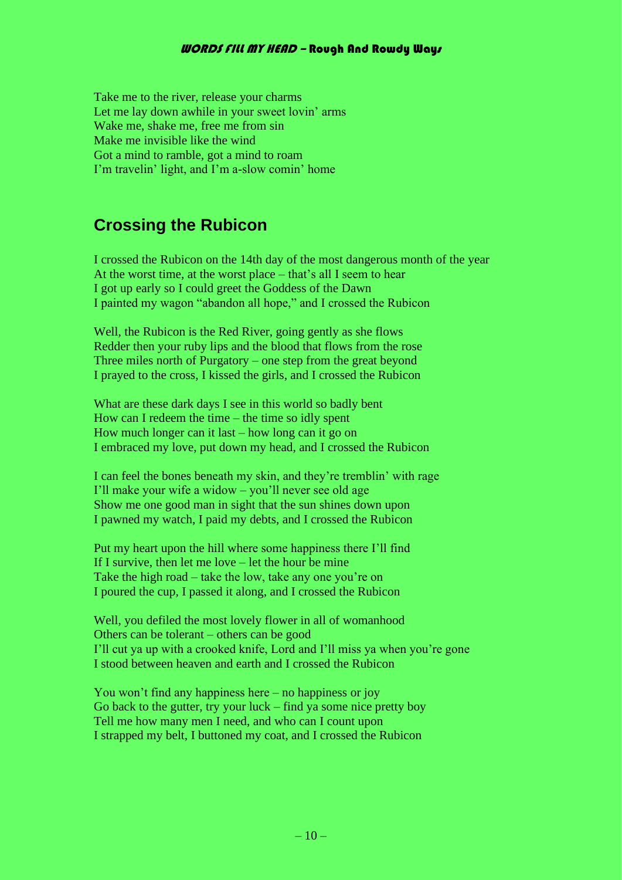Take me to the river, release your charms Let me lay down awhile in your sweet lovin' arms Wake me, shake me, free me from sin Make me invisible like the wind Got a mind to ramble, got a mind to roam I'm travelin' light, and I'm a-slow comin' home

### <span id="page-9-0"></span>**Crossing the Rubicon**

I crossed the Rubicon on the 14th day of the most dangerous month of the year At the worst time, at the worst place – that's all I seem to hear I got up early so I could greet the Goddess of the Dawn I painted my wagon "abandon all hope," and I crossed the Rubicon

Well, the Rubicon is the Red River, going gently as she flows Redder then your ruby lips and the blood that flows from the rose Three miles north of Purgatory – one step from the great beyond I prayed to the cross, I kissed the girls, and I crossed the Rubicon

What are these dark days I see in this world so badly bent How can I redeem the time – the time so idly spent How much longer can it last – how long can it go on I embraced my love, put down my head, and I crossed the Rubicon

I can feel the bones beneath my skin, and they're tremblin' with rage I'll make your wife a widow – you'll never see old age Show me one good man in sight that the sun shines down upon I pawned my watch, I paid my debts, and I crossed the Rubicon

Put my heart upon the hill where some happiness there I'll find If I survive, then let me love – let the hour be mine Take the high road – take the low, take any one you're on I poured the cup, I passed it along, and I crossed the Rubicon

Well, you defiled the most lovely flower in all of womanhood Others can be tolerant – others can be good I'll cut ya up with a crooked knife, Lord and I'll miss ya when you're gone I stood between heaven and earth and I crossed the Rubicon

You won't find any happiness here – no happiness or joy Go back to the gutter, try your luck – find ya some nice pretty boy Tell me how many men I need, and who can I count upon I strapped my belt, I buttoned my coat, and I crossed the Rubicon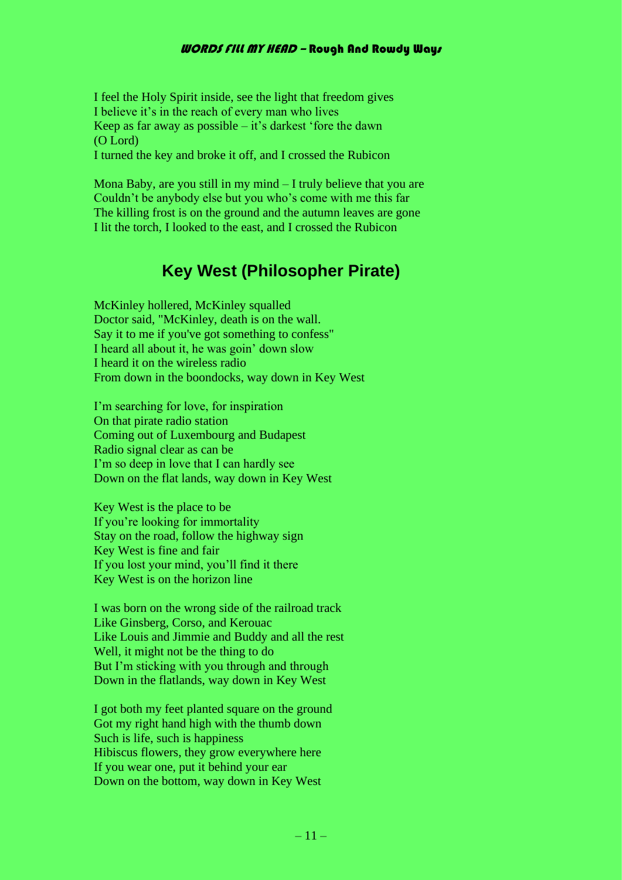I feel the Holy Spirit inside, see the light that freedom gives I believe it's in the reach of every man who lives Keep as far away as possible  $-$  it's darkest 'fore the dawn (O Lord) I turned the key and broke it off, and I crossed the Rubicon

Mona Baby, are you still in my mind – I truly believe that you are Couldn't be anybody else but you who's come with me this far The killing frost is on the ground and the autumn leaves are gone I lit the torch, I looked to the east, and I crossed the Rubicon

# **Key West (Philosopher Pirate)**

<span id="page-10-0"></span>McKinley hollered, McKinley squalled Doctor said, "McKinley, death is on the wall. Say it to me if you've got something to confess" I heard all about it, he was goin' down slow I heard it on the wireless radio From down in the boondocks, way down in Key West

I'm searching for love, for inspiration On that pirate radio station Coming out of Luxembourg and Budapest Radio signal clear as can be I'm so deep in love that I can hardly see Down on the flat lands, way down in Key West

Key West is the place to be If you're looking for immortality Stay on the road, follow the highway sign Key West is fine and fair If you lost your mind, you'll find it there Key West is on the horizon line

I was born on the wrong side of the railroad track Like Ginsberg, Corso, and Kerouac Like Louis and Jimmie and Buddy and all the rest Well, it might not be the thing to do But I'm sticking with you through and through Down in the flatlands, way down in Key West

I got both my feet planted square on the ground Got my right hand high with the thumb down Such is life, such is happiness Hibiscus flowers, they grow everywhere here If you wear one, put it behind your ear Down on the bottom, way down in Key West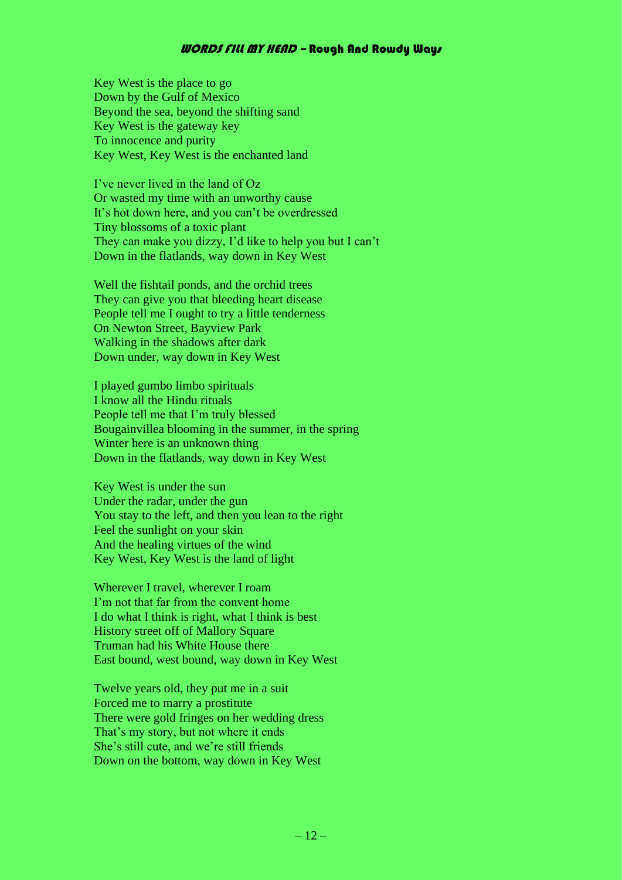Key West is the place to go Down by the Gulf of Mexico Beyond the sea, beyond the shifting sand Key West is the gateway key To innocence and purity Key West, Key West is the enchanted land

I've never lived in the land of Oz Or wasted my time with an unworthy cause It's hot down here, and you can't be overdressed Tiny blossoms of a toxic plant They can make you dizzy, I'd like to help you but I can't Down in the flatlands, way down in Key West

Well the fishtail ponds, and the orchid trees They can give you that bleeding heart disease People tell me I ought to try a little tenderness On Newton Street, Bayview Park Walking in the shadows after dark Down under, way down in Key West

I played gumbo limbo spirituals I know all the Hindu rituals People tell me that I'm truly blessed Bougainvillea blooming in the summer, in the spring Winter here is an unknown thing Down in the flatlands, way down in Key West

Key West is under the sun Under the radar, under the gun You stay to the left, and then you lean to the right Feel the sunlight on your skin And the healing virtues of the wind Key West, Key West is the land of light

Wherever I travel, wherever I roam I'm not that far from the convent home I do what I think is right, what I think is best History street off of Mallory Square Truman had his White House there East bound, west bound, way down in Key West

Twelve years old, they put me in a suit Forced me to marry a prostitute There were gold fringes on her wedding dress That's my story, but not where it ends She's still cute, and we're still friends Down on the bottom, way down in Key West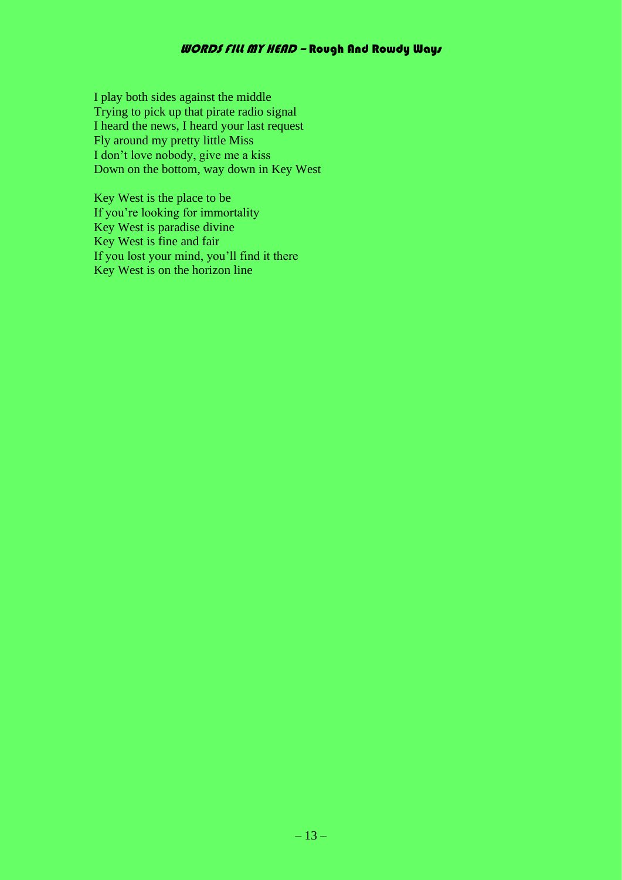I play both sides against the middle Trying to pick up that pirate radio signal I heard the news, I heard your last request Fly around my pretty little Miss I don't love nobody, give me a kiss Down on the bottom, way down in Key West

Key West is the place to be If you're looking for immortality Key West is paradise divine Key West is fine and fair If you lost your mind, you'll find it there Key West is on the horizon line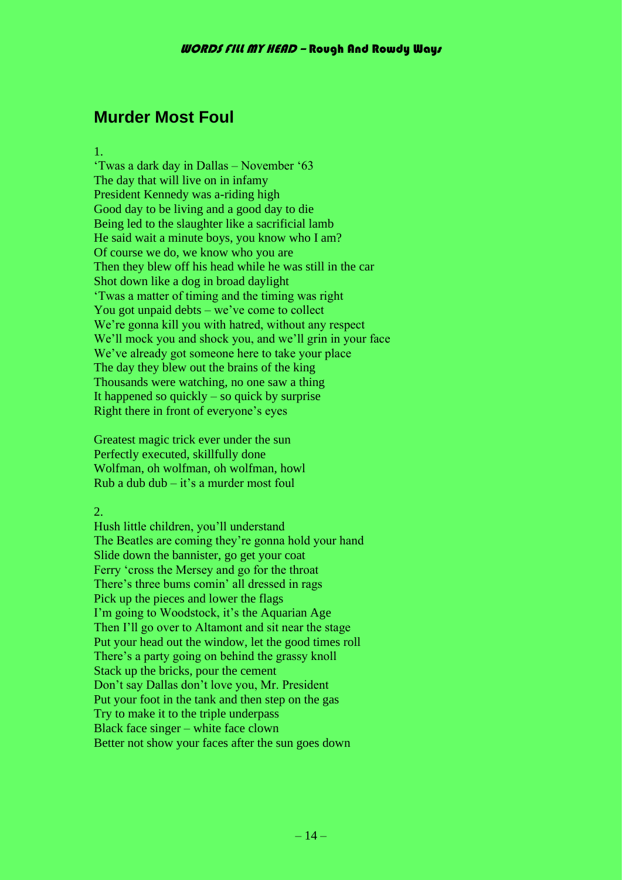### <span id="page-13-0"></span>**Murder Most Foul**

1.

'Twas a dark day in Dallas – November '63 The day that will live on in infamy President Kennedy was a-riding high Good day to be living and a good day to die Being led to the slaughter like a sacrificial lamb He said wait a minute boys, you know who I am? Of course we do, we know who you are Then they blew off his head while he was still in the car Shot down like a dog in broad daylight 'Twas a matter of timing and the timing was right You got unpaid debts – we've come to collect We're gonna kill you with hatred, without any respect We'll mock you and shock you, and we'll grin in your face We've already got someone here to take your place The day they blew out the brains of the king Thousands were watching, no one saw a thing It happened so quickly – so quick by surprise Right there in front of everyone's eyes

Greatest magic trick ever under the sun Perfectly executed, skillfully done Wolfman, oh wolfman, oh wolfman, howl Rub a dub dub  $-$  it's a murder most foul

2.

Hush little children, you'll understand The Beatles are coming they're gonna hold your hand Slide down the bannister, go get your coat Ferry 'cross the Mersey and go for the throat There's three bums comin' all dressed in rags Pick up the pieces and lower the flags I'm going to Woodstock, it's the Aquarian Age Then I'll go over to Altamont and sit near the stage Put your head out the window, let the good times roll There's a party going on behind the grassy knoll Stack up the bricks, pour the cement Don't say Dallas don't love you, Mr. President Put your foot in the tank and then step on the gas Try to make it to the triple underpass Black face singer – white face clown Better not show your faces after the sun goes down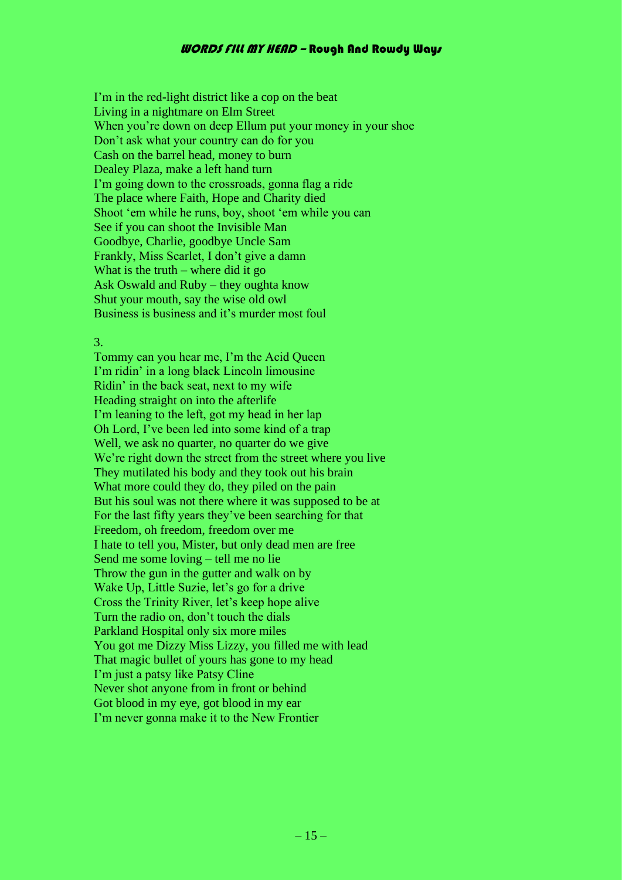I'm in the red-light district like a cop on the beat Living in a nightmare on Elm Street When you're down on deep Ellum put your money in your shoe Don't ask what your country can do for you Cash on the barrel head, money to burn Dealey Plaza, make a left hand turn I'm going down to the crossroads, gonna flag a ride The place where Faith, Hope and Charity died Shoot 'em while he runs, boy, shoot 'em while you can See if you can shoot the Invisible Man Goodbye, Charlie, goodbye Uncle Sam Frankly, Miss Scarlet, I don't give a damn What is the truth – where did it go Ask Oswald and Ruby – they oughta know Shut your mouth, say the wise old owl Business is business and it's murder most foul

#### 3.

Tommy can you hear me, I'm the Acid Queen I'm ridin' in a long black Lincoln limousine Ridin' in the back seat, next to my wife Heading straight on into the afterlife I'm leaning to the left, got my head in her lap Oh Lord, I've been led into some kind of a trap Well, we ask no quarter, no quarter do we give We're right down the street from the street where you live They mutilated his body and they took out his brain What more could they do, they piled on the pain But his soul was not there where it was supposed to be at For the last fifty years they've been searching for that Freedom, oh freedom, freedom over me I hate to tell you, Mister, but only dead men are free Send me some loving – tell me no lie Throw the gun in the gutter and walk on by Wake Up, Little Suzie, let's go for a drive Cross the Trinity River, let's keep hope alive Turn the radio on, don't touch the dials Parkland Hospital only six more miles You got me Dizzy Miss Lizzy, you filled me with lead That magic bullet of yours has gone to my head I'm just a patsy like Patsy Cline Never shot anyone from in front or behind Got blood in my eye, got blood in my ear I'm never gonna make it to the New Frontier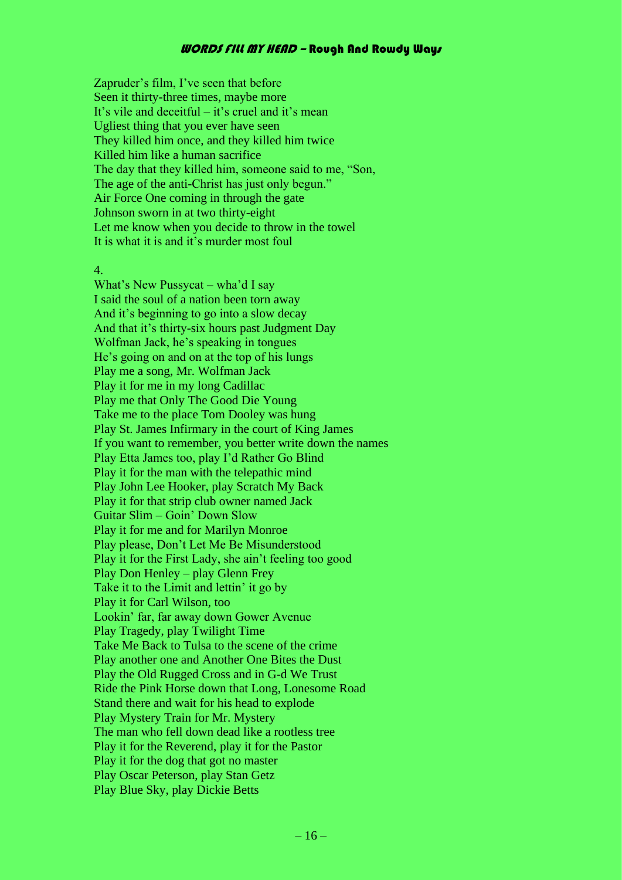Zapruder's film, I've seen that before Seen it thirty-three times, maybe more It's vile and deceitful – it's cruel and it's mean Ugliest thing that you ever have seen They killed him once, and they killed him twice Killed him like a human sacrifice The day that they killed him, someone said to me, "Son, The age of the anti-Christ has just only begun." Air Force One coming in through the gate Johnson sworn in at two thirty-eight Let me know when you decide to throw in the towel It is what it is and it's murder most foul

#### 4.

What's New Pussycat – wha'd I say I said the soul of a nation been torn away And it's beginning to go into a slow decay And that it's thirty-six hours past Judgment Day Wolfman Jack, he's speaking in tongues He's going on and on at the top of his lungs Play me a song, Mr. Wolfman Jack Play it for me in my long Cadillac Play me that Only The Good Die Young Take me to the place Tom Dooley was hung Play St. James Infirmary in the court of King James If you want to remember, you better write down the names Play Etta James too, play I'd Rather Go Blind Play it for the man with the telepathic mind Play John Lee Hooker, play Scratch My Back Play it for that strip club owner named Jack Guitar Slim – Goin' Down Slow Play it for me and for Marilyn Monroe Play please, Don't Let Me Be Misunderstood Play it for the First Lady, she ain't feeling too good Play Don Henley – play Glenn Frey Take it to the Limit and lettin' it go by Play it for Carl Wilson, too Lookin' far, far away down Gower Avenue Play Tragedy, play Twilight Time Take Me Back to Tulsa to the scene of the crime Play another one and Another One Bites the Dust Play the Old Rugged Cross and in G-d We Trust Ride the Pink Horse down that Long, Lonesome Road Stand there and wait for his head to explode Play Mystery Train for Mr. Mystery The man who fell down dead like a rootless tree Play it for the Reverend, play it for the Pastor Play it for the dog that got no master Play Oscar Peterson, play Stan Getz Play Blue Sky, play Dickie Betts